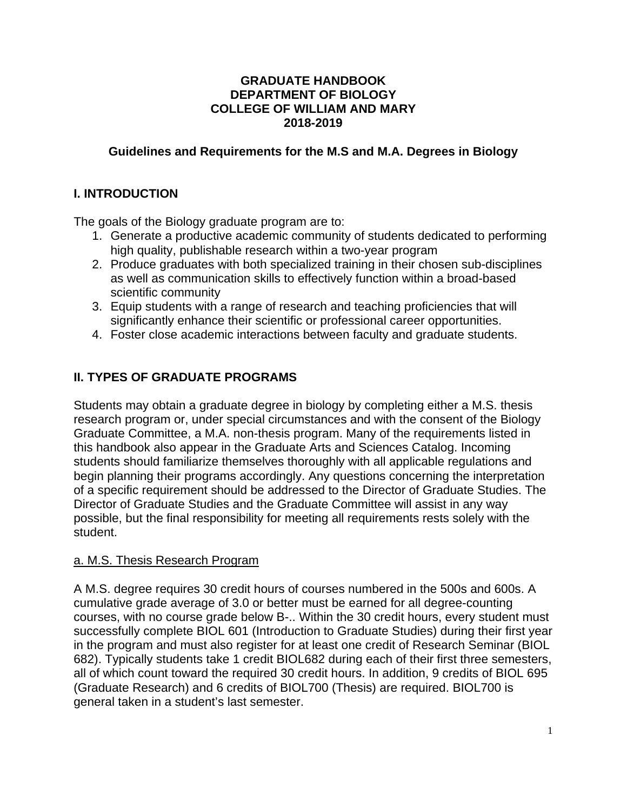### **GRADUATE HANDBOOK DEPARTMENT OF BIOLOGY COLLEGE OF WILLIAM AND MARY 2018-2019**

### **Guidelines and Requirements for the M.S and M.A. Degrees in Biology**

### **I. INTRODUCTION**

The goals of the Biology graduate program are to:

- 1. Generate a productive academic community of students dedicated to performing high quality, publishable research within a two-year program
- 2. Produce graduates with both specialized training in their chosen sub-disciplines as well as communication skills to effectively function within a broad-based scientific community
- 3. Equip students with a range of research and teaching proficiencies that will significantly enhance their scientific or professional career opportunities.
- 4. Foster close academic interactions between faculty and graduate students.

# **II. TYPES OF GRADUATE PROGRAMS**

Students may obtain a graduate degree in biology by completing either a M.S. thesis research program or, under special circumstances and with the consent of the Biology Graduate Committee, a M.A. non-thesis program. Many of the requirements listed in this handbook also appear in the Graduate Arts and Sciences Catalog. Incoming students should familiarize themselves thoroughly with all applicable regulations and begin planning their programs accordingly. Any questions concerning the interpretation of a specific requirement should be addressed to the Director of Graduate Studies. The Director of Graduate Studies and the Graduate Committee will assist in any way possible, but the final responsibility for meeting all requirements rests solely with the student.

## a. M.S. Thesis Research Program

A M.S. degree requires 30 credit hours of courses numbered in the 500s and 600s. A cumulative grade average of 3.0 or better must be earned for all degree-counting courses, with no course grade below B-.. Within the 30 credit hours, every student must successfully complete BIOL 601 (Introduction to Graduate Studies) during their first year in the program and must also register for at least one credit of Research Seminar (BIOL 682). Typically students take 1 credit BIOL682 during each of their first three semesters, all of which count toward the required 30 credit hours. In addition, 9 credits of BIOL 695 (Graduate Research) and 6 credits of BIOL700 (Thesis) are required. BIOL700 is general taken in a student's last semester.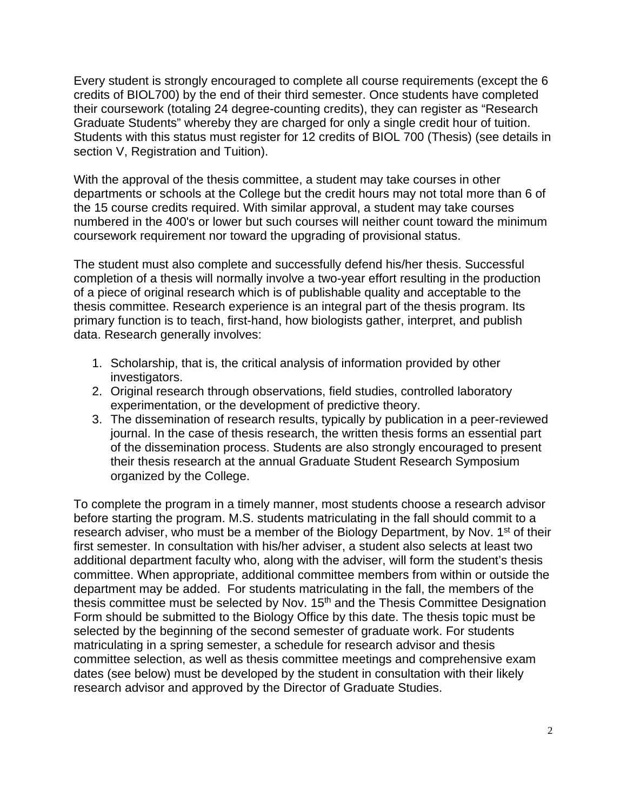Every student is strongly encouraged to complete all course requirements (except the 6 credits of BIOL700) by the end of their third semester. Once students have completed their coursework (totaling 24 degree-counting credits), they can register as "Research Graduate Students" whereby they are charged for only a single credit hour of tuition. Students with this status must register for 12 credits of BIOL 700 (Thesis) (see details in section V, Registration and Tuition).

With the approval of the thesis committee, a student may take courses in other departments or schools at the College but the credit hours may not total more than 6 of the 15 course credits required. With similar approval, a student may take courses numbered in the 400's or lower but such courses will neither count toward the minimum coursework requirement nor toward the upgrading of provisional status.

The student must also complete and successfully defend his/her thesis. Successful completion of a thesis will normally involve a two-year effort resulting in the production of a piece of original research which is of publishable quality and acceptable to the thesis committee. Research experience is an integral part of the thesis program. Its primary function is to teach, first-hand, how biologists gather, interpret, and publish data. Research generally involves:

- 1. Scholarship, that is, the critical analysis of information provided by other investigators.
- 2. Original research through observations, field studies, controlled laboratory experimentation, or the development of predictive theory.
- 3. The dissemination of research results, typically by publication in a peer-reviewed journal. In the case of thesis research, the written thesis forms an essential part of the dissemination process. Students are also strongly encouraged to present their thesis research at the annual Graduate Student Research Symposium organized by the College.

To complete the program in a timely manner, most students choose a research advisor before starting the program. M.S. students matriculating in the fall should commit to a research adviser, who must be a member of the Biology Department, by Nov. 1<sup>st</sup> of their first semester. In consultation with his/her adviser, a student also selects at least two additional department faculty who, along with the adviser, will form the student's thesis committee. When appropriate, additional committee members from within or outside the department may be added. For students matriculating in the fall, the members of the thesis committee must be selected by Nov. 15<sup>th</sup> and the Thesis Committee Designation Form should be submitted to the Biology Office by this date. The thesis topic must be selected by the beginning of the second semester of graduate work. For students matriculating in a spring semester, a schedule for research advisor and thesis committee selection, as well as thesis committee meetings and comprehensive exam dates (see below) must be developed by the student in consultation with their likely research advisor and approved by the Director of Graduate Studies.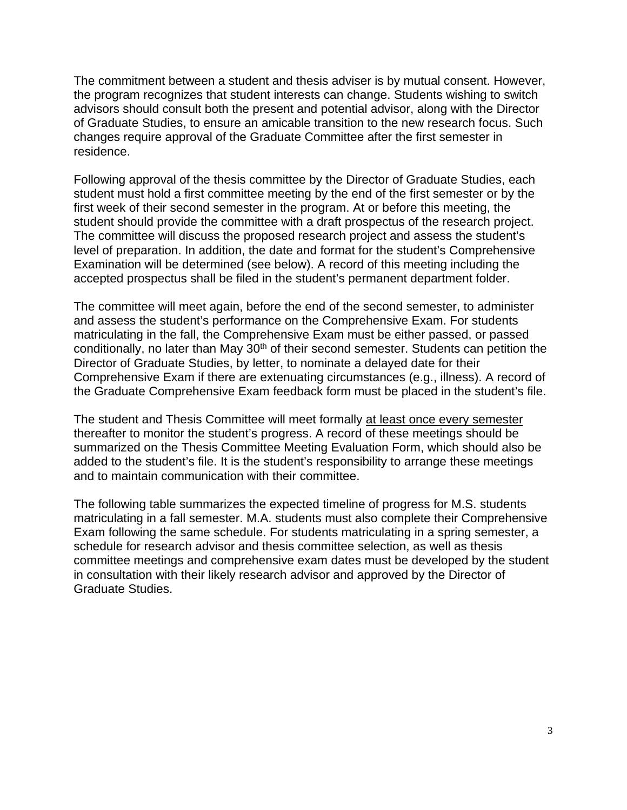The commitment between a student and thesis adviser is by mutual consent. However, the program recognizes that student interests can change. Students wishing to switch advisors should consult both the present and potential advisor, along with the Director of Graduate Studies, to ensure an amicable transition to the new research focus. Such changes require approval of the Graduate Committee after the first semester in residence.

Following approval of the thesis committee by the Director of Graduate Studies, each student must hold a first committee meeting by the end of the first semester or by the first week of their second semester in the program. At or before this meeting, the student should provide the committee with a draft prospectus of the research project. The committee will discuss the proposed research project and assess the student's level of preparation. In addition, the date and format for the student's Comprehensive Examination will be determined (see below). A record of this meeting including the accepted prospectus shall be filed in the student's permanent department folder.

The committee will meet again, before the end of the second semester, to administer and assess the student's performance on the Comprehensive Exam. For students matriculating in the fall, the Comprehensive Exam must be either passed, or passed conditionally, no later than May 30<sup>th</sup> of their second semester. Students can petition the Director of Graduate Studies, by letter, to nominate a delayed date for their Comprehensive Exam if there are extenuating circumstances (e.g., illness). A record of the Graduate Comprehensive Exam feedback form must be placed in the student's file.

The student and Thesis Committee will meet formally at least once every semester thereafter to monitor the student's progress. A record of these meetings should be summarized on the Thesis Committee Meeting Evaluation Form, which should also be added to the student's file. It is the student's responsibility to arrange these meetings and to maintain communication with their committee.

The following table summarizes the expected timeline of progress for M.S. students matriculating in a fall semester. M.A. students must also complete their Comprehensive Exam following the same schedule. For students matriculating in a spring semester, a schedule for research advisor and thesis committee selection, as well as thesis committee meetings and comprehensive exam dates must be developed by the student in consultation with their likely research advisor and approved by the Director of Graduate Studies.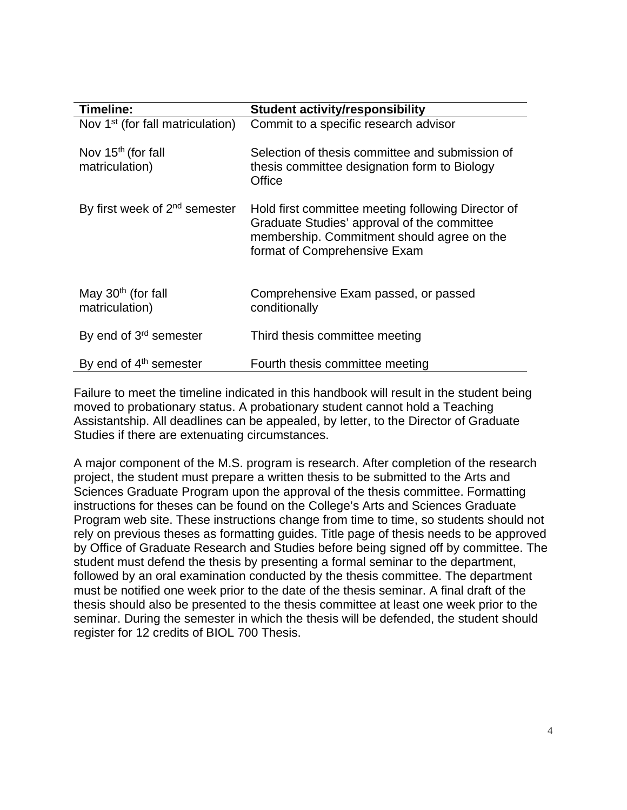| Timeline:                                        | <b>Student activity/responsibility</b>                                                                                                                                          |
|--------------------------------------------------|---------------------------------------------------------------------------------------------------------------------------------------------------------------------------------|
| Nov 1 <sup>st</sup> (for fall matriculation)     | Commit to a specific research advisor                                                                                                                                           |
| Nov 15 <sup>th</sup> (for fall<br>matriculation) | Selection of thesis committee and submission of<br>thesis committee designation form to Biology<br>Office                                                                       |
| By first week of 2 <sup>nd</sup> semester        | Hold first committee meeting following Director of<br>Graduate Studies' approval of the committee<br>membership. Commitment should agree on the<br>format of Comprehensive Exam |
| May 30 <sup>th</sup> (for fall<br>matriculation) | Comprehensive Exam passed, or passed<br>conditionally                                                                                                                           |
| By end of 3 <sup>rd</sup> semester               | Third thesis committee meeting                                                                                                                                                  |
| By end of 4 <sup>th</sup> semester               | Fourth thesis committee meeting                                                                                                                                                 |

Failure to meet the timeline indicated in this handbook will result in the student being moved to probationary status. A probationary student cannot hold a Teaching Assistantship. All deadlines can be appealed, by letter, to the Director of Graduate Studies if there are extenuating circumstances.

A major component of the M.S. program is research. After completion of the research project, the student must prepare a written thesis to be submitted to the Arts and Sciences Graduate Program upon the approval of the thesis committee. Formatting instructions for theses can be found on the College's Arts and Sciences Graduate Program web site. These instructions change from time to time, so students should not rely on previous theses as formatting guides. Title page of thesis needs to be approved by Office of Graduate Research and Studies before being signed off by committee. The student must defend the thesis by presenting a formal seminar to the department, followed by an oral examination conducted by the thesis committee. The department must be notified one week prior to the date of the thesis seminar. A final draft of the thesis should also be presented to the thesis committee at least one week prior to the seminar. During the semester in which the thesis will be defended, the student should register for 12 credits of BIOL 700 Thesis.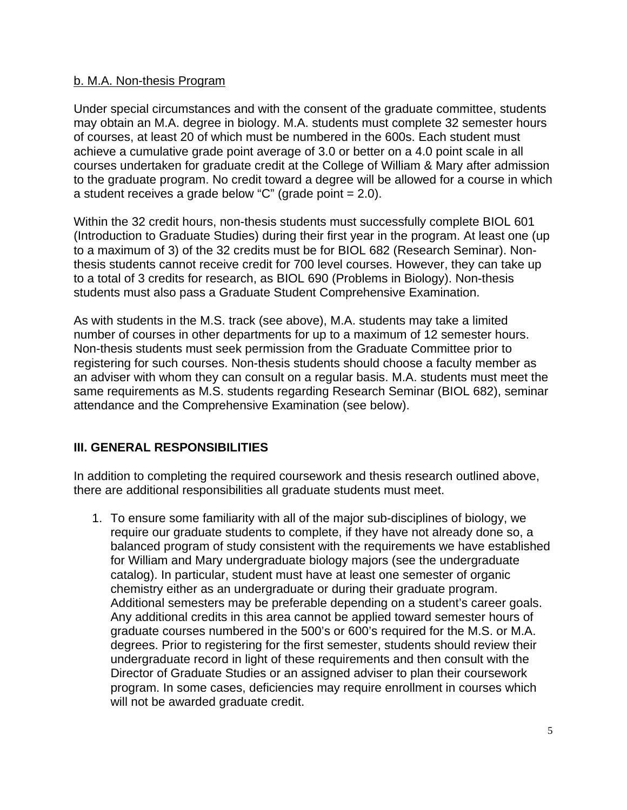### b. M.A. Non-thesis Program

Under special circumstances and with the consent of the graduate committee, students may obtain an M.A. degree in biology. M.A. students must complete 32 semester hours of courses, at least 20 of which must be numbered in the 600s. Each student must achieve a cumulative grade point average of 3.0 or better on a 4.0 point scale in all courses undertaken for graduate credit at the College of William & Mary after admission to the graduate program. No credit toward a degree will be allowed for a course in which a student receives a grade below "C" (grade point  $= 2.0$ ).

Within the 32 credit hours, non-thesis students must successfully complete BIOL 601 (Introduction to Graduate Studies) during their first year in the program. At least one (up to a maximum of 3) of the 32 credits must be for BIOL 682 (Research Seminar). Nonthesis students cannot receive credit for 700 level courses. However, they can take up to a total of 3 credits for research, as BIOL 690 (Problems in Biology). Non-thesis students must also pass a Graduate Student Comprehensive Examination.

As with students in the M.S. track (see above), M.A. students may take a limited number of courses in other departments for up to a maximum of 12 semester hours. Non-thesis students must seek permission from the Graduate Committee prior to registering for such courses. Non-thesis students should choose a faculty member as an adviser with whom they can consult on a regular basis. M.A. students must meet the same requirements as M.S. students regarding Research Seminar (BIOL 682), seminar attendance and the Comprehensive Examination (see below).

## **III. GENERAL RESPONSIBILITIES**

In addition to completing the required coursework and thesis research outlined above, there are additional responsibilities all graduate students must meet.

1. To ensure some familiarity with all of the major sub-disciplines of biology, we require our graduate students to complete, if they have not already done so, a balanced program of study consistent with the requirements we have established for William and Mary undergraduate biology majors (see the undergraduate catalog). In particular, student must have at least one semester of organic chemistry either as an undergraduate or during their graduate program. Additional semesters may be preferable depending on a student's career goals. Any additional credits in this area cannot be applied toward semester hours of graduate courses numbered in the 500's or 600's required for the M.S. or M.A. degrees. Prior to registering for the first semester, students should review their undergraduate record in light of these requirements and then consult with the Director of Graduate Studies or an assigned adviser to plan their coursework program. In some cases, deficiencies may require enrollment in courses which will not be awarded graduate credit.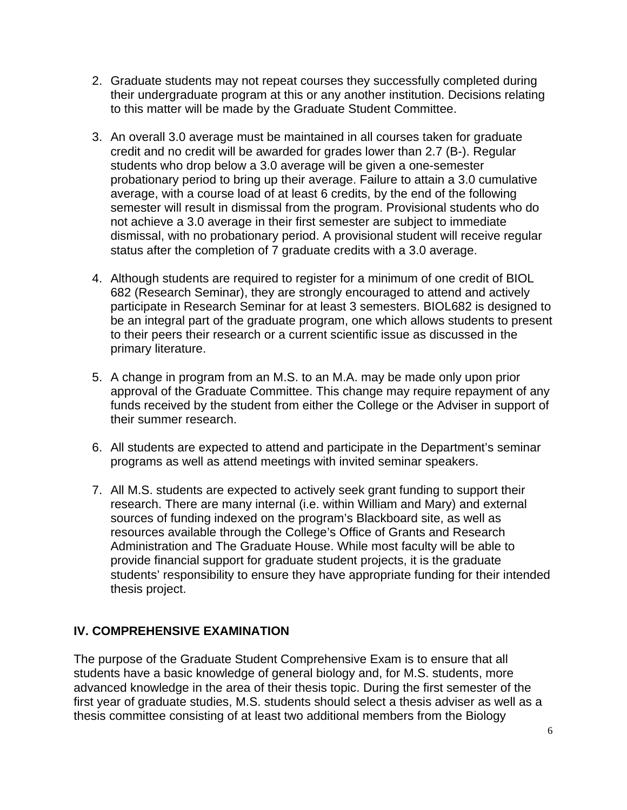- 2. Graduate students may not repeat courses they successfully completed during their undergraduate program at this or any another institution. Decisions relating to this matter will be made by the Graduate Student Committee.
- 3. An overall 3.0 average must be maintained in all courses taken for graduate credit and no credit will be awarded for grades lower than 2.7 (B-). Regular students who drop below a 3.0 average will be given a one-semester probationary period to bring up their average. Failure to attain a 3.0 cumulative average, with a course load of at least 6 credits, by the end of the following semester will result in dismissal from the program. Provisional students who do not achieve a 3.0 average in their first semester are subject to immediate dismissal, with no probationary period. A provisional student will receive regular status after the completion of 7 graduate credits with a 3.0 average.
- 4. Although students are required to register for a minimum of one credit of BIOL 682 (Research Seminar), they are strongly encouraged to attend and actively participate in Research Seminar for at least 3 semesters. BIOL682 is designed to be an integral part of the graduate program, one which allows students to present to their peers their research or a current scientific issue as discussed in the primary literature.
- 5. A change in program from an M.S. to an M.A. may be made only upon prior approval of the Graduate Committee. This change may require repayment of any funds received by the student from either the College or the Adviser in support of their summer research.
- 6. All students are expected to attend and participate in the Department's seminar programs as well as attend meetings with invited seminar speakers.
- 7. All M.S. students are expected to actively seek grant funding to support their research. There are many internal (i.e. within William and Mary) and external sources of funding indexed on the program's Blackboard site, as well as resources available through the College's Office of Grants and Research Administration and The Graduate House. While most faculty will be able to provide financial support for graduate student projects, it is the graduate students' responsibility to ensure they have appropriate funding for their intended thesis project.

## **IV. COMPREHENSIVE EXAMINATION**

The purpose of the Graduate Student Comprehensive Exam is to ensure that all students have a basic knowledge of general biology and, for M.S. students, more advanced knowledge in the area of their thesis topic. During the first semester of the first year of graduate studies, M.S. students should select a thesis adviser as well as a thesis committee consisting of at least two additional members from the Biology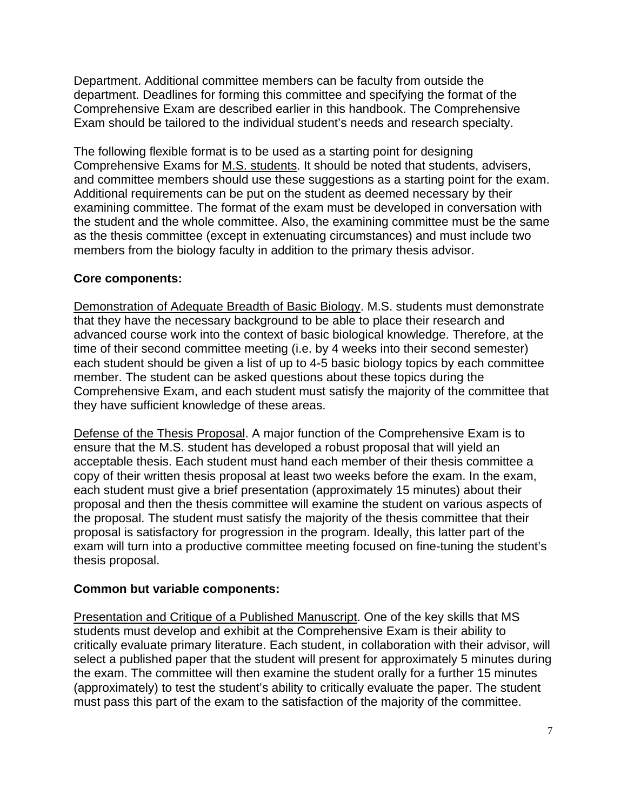Department. Additional committee members can be faculty from outside the department. Deadlines for forming this committee and specifying the format of the Comprehensive Exam are described earlier in this handbook. The Comprehensive Exam should be tailored to the individual student's needs and research specialty.

The following flexible format is to be used as a starting point for designing Comprehensive Exams for M.S. students. It should be noted that students, advisers, and committee members should use these suggestions as a starting point for the exam. Additional requirements can be put on the student as deemed necessary by their examining committee. The format of the exam must be developed in conversation with the student and the whole committee. Also, the examining committee must be the same as the thesis committee (except in extenuating circumstances) and must include two members from the biology faculty in addition to the primary thesis advisor.

### **Core components:**

Demonstration of Adequate Breadth of Basic Biology. M.S. students must demonstrate that they have the necessary background to be able to place their research and advanced course work into the context of basic biological knowledge. Therefore, at the time of their second committee meeting (i.e. by 4 weeks into their second semester) each student should be given a list of up to 4-5 basic biology topics by each committee member. The student can be asked questions about these topics during the Comprehensive Exam, and each student must satisfy the majority of the committee that they have sufficient knowledge of these areas.

Defense of the Thesis Proposal. A major function of the Comprehensive Exam is to ensure that the M.S. student has developed a robust proposal that will yield an acceptable thesis. Each student must hand each member of their thesis committee a copy of their written thesis proposal at least two weeks before the exam. In the exam, each student must give a brief presentation (approximately 15 minutes) about their proposal and then the thesis committee will examine the student on various aspects of the proposal. The student must satisfy the majority of the thesis committee that their proposal is satisfactory for progression in the program. Ideally, this latter part of the exam will turn into a productive committee meeting focused on fine-tuning the student's thesis proposal.

### **Common but variable components:**

Presentation and Critique of a Published Manuscript. One of the key skills that MS students must develop and exhibit at the Comprehensive Exam is their ability to critically evaluate primary literature. Each student, in collaboration with their advisor, will select a published paper that the student will present for approximately 5 minutes during the exam. The committee will then examine the student orally for a further 15 minutes (approximately) to test the student's ability to critically evaluate the paper. The student must pass this part of the exam to the satisfaction of the majority of the committee.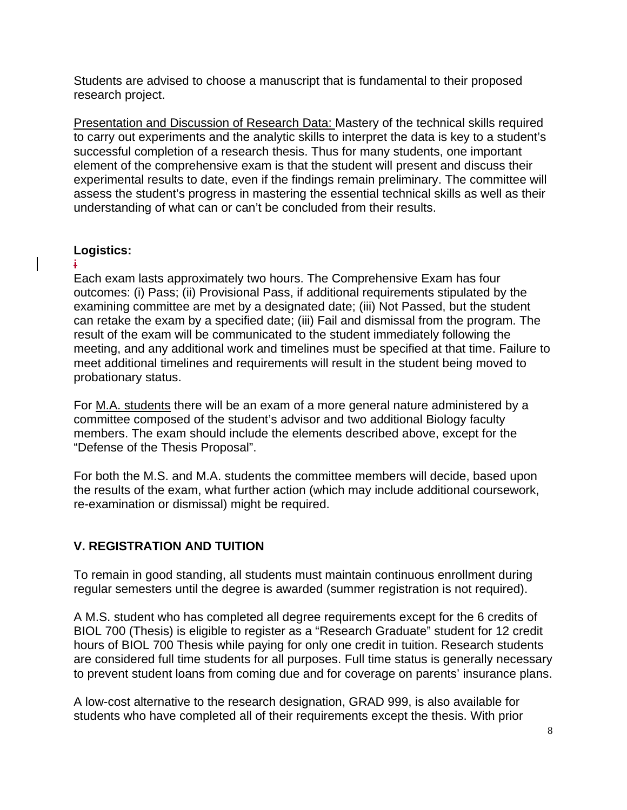Students are advised to choose a manuscript that is fundamental to their proposed research project.

Presentation and Discussion of Research Data: Mastery of the technical skills required to carry out experiments and the analytic skills to interpret the data is key to a student's successful completion of a research thesis. Thus for many students, one important element of the comprehensive exam is that the student will present and discuss their experimental results to date, even if the findings remain preliminary. The committee will assess the student's progress in mastering the essential technical skills as well as their understanding of what can or can't be concluded from their results.

# **Logistics:**

#### **i**

Each exam lasts approximately two hours. The Comprehensive Exam has four outcomes: (i) Pass; (ii) Provisional Pass, if additional requirements stipulated by the examining committee are met by a designated date; (iii) Not Passed, but the student can retake the exam by a specified date; (iii) Fail and dismissal from the program. The result of the exam will be communicated to the student immediately following the meeting, and any additional work and timelines must be specified at that time. Failure to meet additional timelines and requirements will result in the student being moved to probationary status.

For M.A. students there will be an exam of a more general nature administered by a committee composed of the student's advisor and two additional Biology faculty members. The exam should include the elements described above, except for the "Defense of the Thesis Proposal".

For both the M.S. and M.A. students the committee members will decide, based upon the results of the exam, what further action (which may include additional coursework, re-examination or dismissal) might be required.

# **V. REGISTRATION AND TUITION**

To remain in good standing, all students must maintain continuous enrollment during regular semesters until the degree is awarded (summer registration is not required).

A M.S. student who has completed all degree requirements except for the 6 credits of BIOL 700 (Thesis) is eligible to register as a "Research Graduate" student for 12 credit hours of BIOL 700 Thesis while paying for only one credit in tuition. Research students are considered full time students for all purposes. Full time status is generally necessary to prevent student loans from coming due and for coverage on parents' insurance plans.

A low-cost alternative to the research designation, GRAD 999, is also available for students who have completed all of their requirements except the thesis. With prior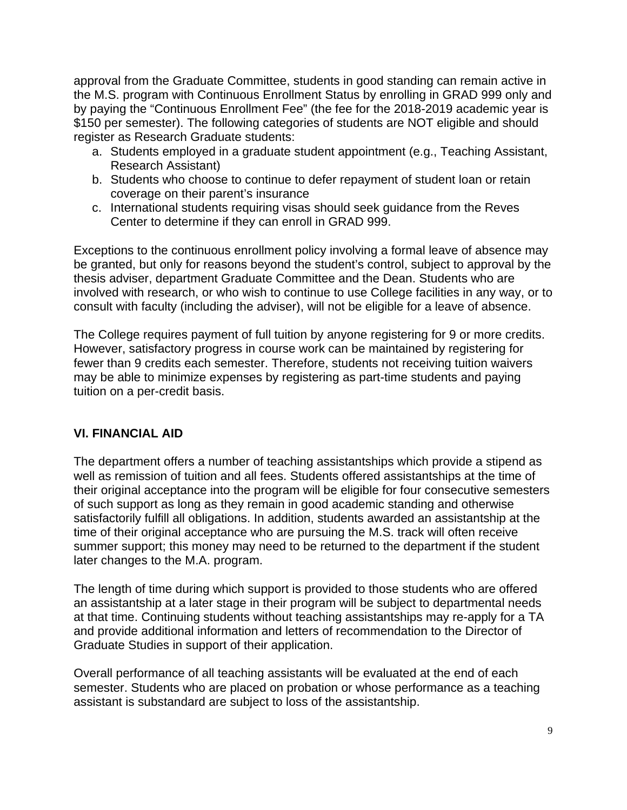approval from the Graduate Committee, students in good standing can remain active in the M.S. program with Continuous Enrollment Status by enrolling in GRAD 999 only and by paying the "Continuous Enrollment Fee" (the fee for the 2018-2019 academic year is \$150 per semester). The following categories of students are NOT eligible and should register as Research Graduate students:

- a. Students employed in a graduate student appointment (e.g., Teaching Assistant, Research Assistant)
- b. Students who choose to continue to defer repayment of student loan or retain coverage on their parent's insurance
- c. International students requiring visas should seek guidance from the Reves Center to determine if they can enroll in GRAD 999.

Exceptions to the continuous enrollment policy involving a formal leave of absence may be granted, but only for reasons beyond the student's control, subject to approval by the thesis adviser, department Graduate Committee and the Dean. Students who are involved with research, or who wish to continue to use College facilities in any way, or to consult with faculty (including the adviser), will not be eligible for a leave of absence.

The College requires payment of full tuition by anyone registering for 9 or more credits. However, satisfactory progress in course work can be maintained by registering for fewer than 9 credits each semester. Therefore, students not receiving tuition waivers may be able to minimize expenses by registering as part-time students and paying tuition on a per-credit basis.

## **VI. FINANCIAL AID**

The department offers a number of teaching assistantships which provide a stipend as well as remission of tuition and all fees. Students offered assistantships at the time of their original acceptance into the program will be eligible for four consecutive semesters of such support as long as they remain in good academic standing and otherwise satisfactorily fulfill all obligations. In addition, students awarded an assistantship at the time of their original acceptance who are pursuing the M.S. track will often receive summer support; this money may need to be returned to the department if the student later changes to the M.A. program.

The length of time during which support is provided to those students who are offered an assistantship at a later stage in their program will be subject to departmental needs at that time. Continuing students without teaching assistantships may re-apply for a TA and provide additional information and letters of recommendation to the Director of Graduate Studies in support of their application.

Overall performance of all teaching assistants will be evaluated at the end of each semester. Students who are placed on probation or whose performance as a teaching assistant is substandard are subject to loss of the assistantship.